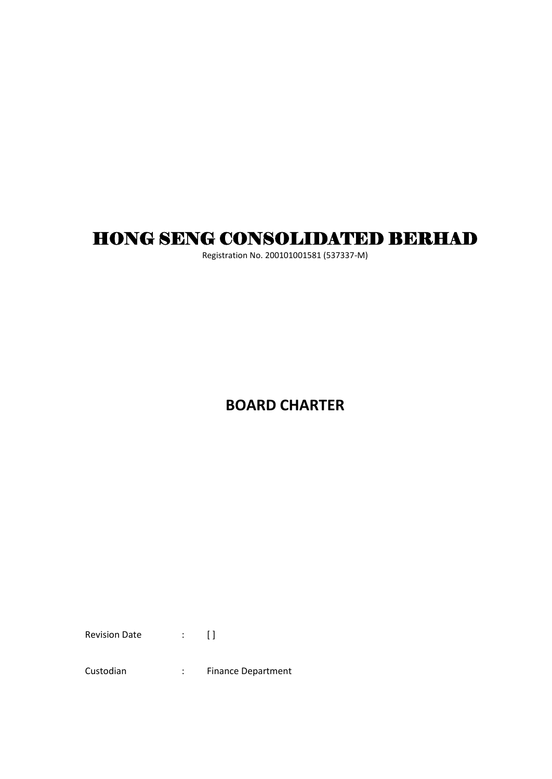# HONG SENG CONSOLIDATED BERHAD

Registration No. 200101001581 (537337-M)

# **BOARD CHARTER**

Revision Date : [ ]

Custodian : Finance Department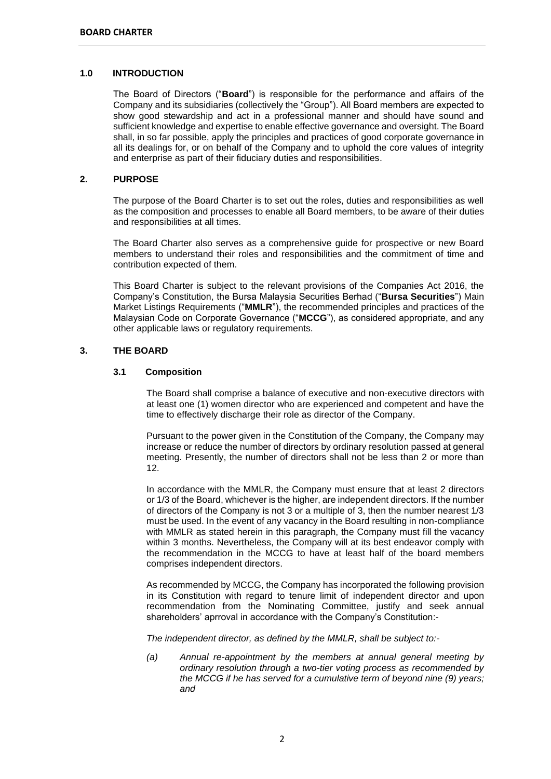#### **1.0 INTRODUCTION**

The Board of Directors ("**Board**") is responsible for the performance and affairs of the Company and its subsidiaries (collectively the "Group"). All Board members are expected to show good stewardship and act in a professional manner and should have sound and sufficient knowledge and expertise to enable effective governance and oversight. The Board shall, in so far possible, apply the principles and practices of good corporate governance in all its dealings for, or on behalf of the Company and to uphold the core values of integrity and enterprise as part of their fiduciary duties and responsibilities.

# **2. PURPOSE**

The purpose of the Board Charter is to set out the roles, duties and responsibilities as well as the composition and processes to enable all Board members, to be aware of their duties and responsibilities at all times.

The Board Charter also serves as a comprehensive guide for prospective or new Board members to understand their roles and responsibilities and the commitment of time and contribution expected of them.

This Board Charter is subject to the relevant provisions of the Companies Act 2016, the Company's Constitution, the Bursa Malaysia Securities Berhad ("**Bursa Securities**") Main Market Listings Requirements ("**MMLR**"), the recommended principles and practices of the Malaysian Code on Corporate Governance ("**MCCG**"), as considered appropriate, and any other applicable laws or regulatory requirements.

# **3. THE BOARD**

## **3.1 Composition**

The Board shall comprise a balance of executive and non-executive directors with at least one (1) women director who are experienced and competent and have the time to effectively discharge their role as director of the Company.

Pursuant to the power given in the Constitution of the Company, the Company may increase or reduce the number of directors by ordinary resolution passed at general meeting. Presently, the number of directors shall not be less than 2 or more than 12.

In accordance with the MMLR, the Company must ensure that at least 2 directors or 1/3 of the Board, whichever is the higher, are independent directors. If the number of directors of the Company is not 3 or a multiple of 3, then the number nearest 1/3 must be used. In the event of any vacancy in the Board resulting in non-compliance with MMLR as stated herein in this paragraph, the Company must fill the vacancy within 3 months. Nevertheless, the Company will at its best endeavor comply with the recommendation in the MCCG to have at least half of the board members comprises independent directors.

As recommended by MCCG, the Company has incorporated the following provision in its Constitution with regard to tenure limit of independent director and upon recommendation from the Nominating Committee, justify and seek annual shareholders' aprroval in accordance with the Company's Constitution:-

*The independent director, as defined by the MMLR, shall be subject to:-*

*(a) Annual re-appointment by the members at annual general meeting by ordinary resolution through a two-tier voting process as recommended by the MCCG if he has served for a cumulative term of beyond nine (9) years; and*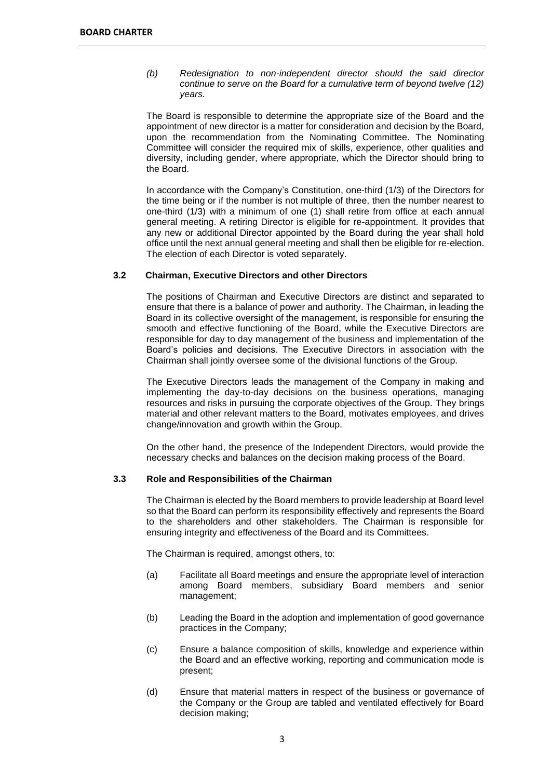*(b) Redesignation to non-independent director should the said director continue to serve on the Board for a cumulative term of beyond twelve (12) years.*

The Board is responsible to determine the appropriate size of the Board and the appointment of new director is a matter for consideration and decision by the Board, upon the recommendation from the Nominating Committee. The Nominating Committee will consider the required mix of skills, experience, other qualities and diversity, including gender, where appropriate, which the Director should bring to the Board.

In accordance with the Company's Constitution, one-third (1/3) of the Directors for the time being or if the number is not multiple of three, then the number nearest to one-third (1/3) with a minimum of one (1) shall retire from office at each annual general meeting. A retiring Director is eligible for re-appointment. It provides that any new or additional Director appointed by the Board during the year shall hold office until the next annual general meeting and shall then be eligible for re-election. The election of each Director is voted separately.

## **3.2 Chairman, Executive Directors and other Directors**

The positions of Chairman and Executive Directors are distinct and separated to ensure that there is a balance of power and authority. The Chairman, in leading the Board in its collective oversight of the management, is responsible for ensuring the smooth and effective functioning of the Board, while the Executive Directors are responsible for day to day management of the business and implementation of the Board's policies and decisions. The Executive Directors in association with the Chairman shall jointly oversee some of the divisional functions of the Group.

The Executive Directors leads the management of the Company in making and implementing the day-to-day decisions on the business operations, managing resources and risks in pursuing the corporate objectives of the Group. They brings material and other relevant matters to the Board, motivates employees, and drives change/innovation and growth within the Group.

On the other hand, the presence of the Independent Directors, would provide the necessary checks and balances on the decision making process of the Board.

#### **3.3 Role and Responsibilities of the Chairman**

The Chairman is elected by the Board members to provide leadership at Board level so that the Board can perform its responsibility effectively and represents the Board to the shareholders and other stakeholders. The Chairman is responsible for ensuring integrity and effectiveness of the Board and its Committees.

The Chairman is required, amongst others, to:

- (a) Facilitate all Board meetings and ensure the appropriate level of interaction among Board members, subsidiary Board members and senior management;
- (b) Leading the Board in the adoption and implementation of good governance practices in the Company;
- (c) Ensure a balance composition of skills, knowledge and experience within the Board and an effective working, reporting and communication mode is present;
- (d) Ensure that material matters in respect of the business or governance of the Company or the Group are tabled and ventilated effectively for Board decision making;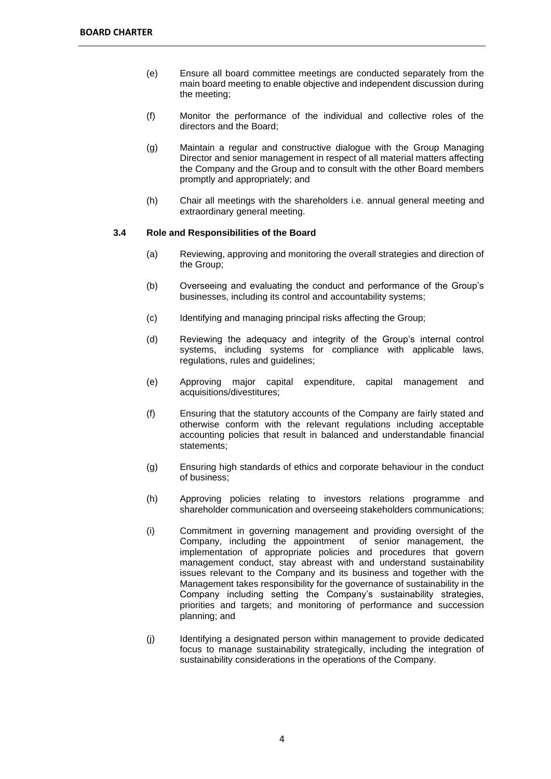- (e) Ensure all board committee meetings are conducted separately from the main board meeting to enable objective and independent discussion during the meeting;
- (f) Monitor the performance of the individual and collective roles of the directors and the Board;
- (g) Maintain a regular and constructive dialogue with the Group Managing Director and senior management in respect of all material matters affecting the Company and the Group and to consult with the other Board members promptly and appropriately; and
- (h) Chair all meetings with the shareholders i.e. annual general meeting and extraordinary general meeting.

#### **3.4 Role and Responsibilities of the Board**

- (a) Reviewing, approving and monitoring the overall strategies and direction of the Group;
- (b) Overseeing and evaluating the conduct and performance of the Group's businesses, including its control and accountability systems;
- (c) Identifying and managing principal risks affecting the Group;
- (d) Reviewing the adequacy and integrity of the Group's internal control systems, including systems for compliance with applicable laws, regulations, rules and guidelines;
- (e) Approving major capital expenditure, capital management and acquisitions/divestitures;
- (f) Ensuring that the statutory accounts of the Company are fairly stated and otherwise conform with the relevant regulations including acceptable accounting policies that result in balanced and understandable financial statements;
- (g) Ensuring high standards of ethics and corporate behaviour in the conduct of business;
- (h) Approving policies relating to investors relations programme and shareholder communication and overseeing stakeholders communications;
- (i) Commitment in governing management and providing oversight of the Company, including the appointment of senior management, the implementation of appropriate policies and procedures that govern management conduct, stay abreast with and understand sustainability issues relevant to the Company and its business and together with the Management takes responsibility for the governance of sustainability in the Company including setting the Company's sustainability strategies, priorities and targets; and monitoring of performance and succession planning; and
- (j) Identifying a designated person within management to provide dedicated focus to manage sustainability strategically, including the integration of sustainability considerations in the operations of the Company.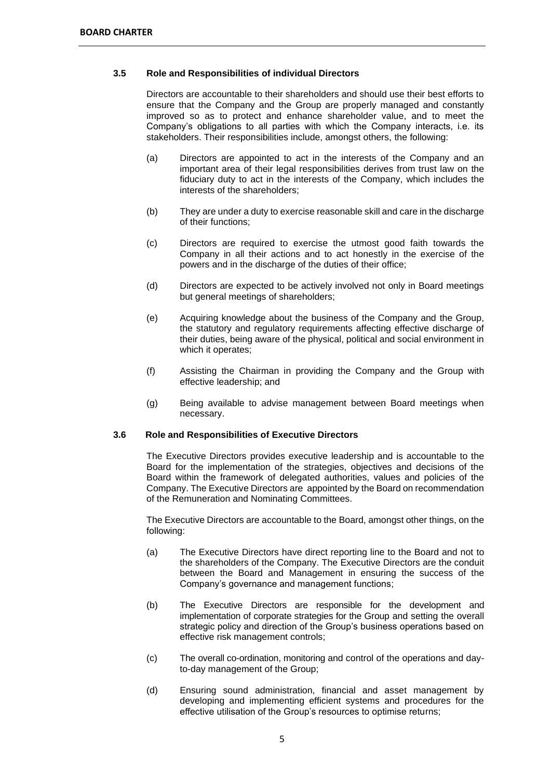#### **3.5 Role and Responsibilities of individual Directors**

Directors are accountable to their shareholders and should use their best efforts to ensure that the Company and the Group are properly managed and constantly improved so as to protect and enhance shareholder value, and to meet the Company's obligations to all parties with which the Company interacts, i.e. its stakeholders. Their responsibilities include, amongst others, the following:

- (a) Directors are appointed to act in the interests of the Company and an important area of their legal responsibilities derives from trust law on the fiduciary duty to act in the interests of the Company, which includes the interests of the shareholders;
- (b) They are under a duty to exercise reasonable skill and care in the discharge of their functions;
- (c) Directors are required to exercise the utmost good faith towards the Company in all their actions and to act honestly in the exercise of the powers and in the discharge of the duties of their office;
- (d) Directors are expected to be actively involved not only in Board meetings but general meetings of shareholders;
- (e) Acquiring knowledge about the business of the Company and the Group, the statutory and regulatory requirements affecting effective discharge of their duties, being aware of the physical, political and social environment in which it operates;
- (f) Assisting the Chairman in providing the Company and the Group with effective leadership; and
- (g) Being available to advise management between Board meetings when necessary.

#### **3.6 Role and Responsibilities of Executive Directors**

The Executive Directors provides executive leadership and is accountable to the Board for the implementation of the strategies, objectives and decisions of the Board within the framework of delegated authorities, values and policies of the Company. The Executive Directors are appointed by the Board on recommendation of the Remuneration and Nominating Committees.

The Executive Directors are accountable to the Board, amongst other things, on the following:

- (a) The Executive Directors have direct reporting line to the Board and not to the shareholders of the Company. The Executive Directors are the conduit between the Board and Management in ensuring the success of the Company's governance and management functions;
- (b) The Executive Directors are responsible for the development and implementation of corporate strategies for the Group and setting the overall strategic policy and direction of the Group's business operations based on effective risk management controls;
- (c) The overall co-ordination, monitoring and control of the operations and dayto-day management of the Group;
- (d) Ensuring sound administration, financial and asset management by developing and implementing efficient systems and procedures for the effective utilisation of the Group's resources to optimise returns;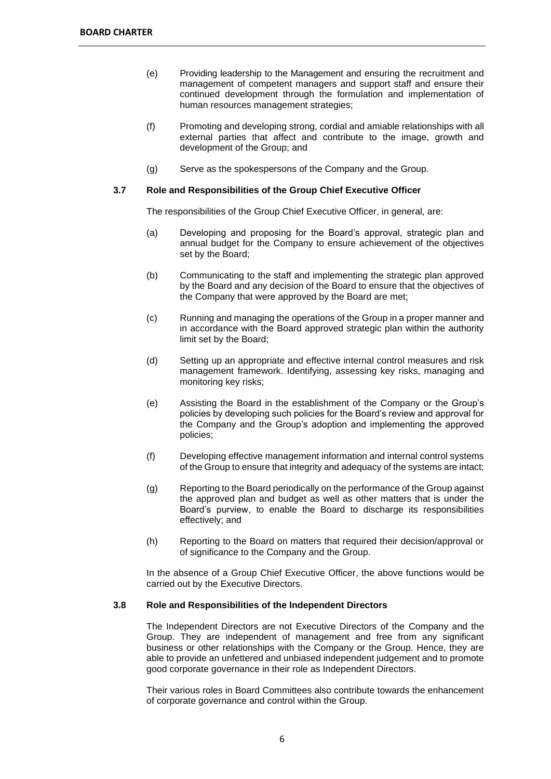- (e) Providing leadership to the Management and ensuring the recruitment and management of competent managers and support staff and ensure their continued development through the formulation and implementation of human resources management strategies;
- (f) Promoting and developing strong, cordial and amiable relationships with all external parties that affect and contribute to the image, growth and development of the Group; and
- (g) Serve as the spokespersons of the Company and the Group.

## **3.7 Role and Responsibilities of the Group Chief Executive Officer**

The responsibilities of the Group Chief Executive Officer, in general, are:

- (a) Developing and proposing for the Board's approval, strategic plan and annual budget for the Company to ensure achievement of the objectives set by the Board;
- (b) Communicating to the staff and implementing the strategic plan approved by the Board and any decision of the Board to ensure that the objectives of the Company that were approved by the Board are met;
- (c) Running and managing the operations of the Group in a proper manner and in accordance with the Board approved strategic plan within the authority limit set by the Board;
- (d) Setting up an appropriate and effective internal control measures and risk management framework. Identifying, assessing key risks, managing and monitoring key risks;
- (e) Assisting the Board in the establishment of the Company or the Group's policies by developing such policies for the Board's review and approval for the Company and the Group's adoption and implementing the approved policies;
- (f) Developing effective management information and internal control systems of the Group to ensure that integrity and adequacy of the systems are intact;
- (g) Reporting to the Board periodically on the performance of the Group against the approved plan and budget as well as other matters that is under the Board's purview, to enable the Board to discharge its responsibilities effectively; and
- (h) Reporting to the Board on matters that required their decision/approval or of significance to the Company and the Group.

In the absence of a Group Chief Executive Officer, the above functions would be carried out by the Executive Directors.

#### **3.8 Role and Responsibilities of the Independent Directors**

The Independent Directors are not Executive Directors of the Company and the Group. They are independent of management and free from any significant business or other relationships with the Company or the Group. Hence, they are able to provide an unfettered and unbiased independent judgement and to promote good corporate governance in their role as Independent Directors.

Their various roles in Board Committees also contribute towards the enhancement of corporate governance and control within the Group.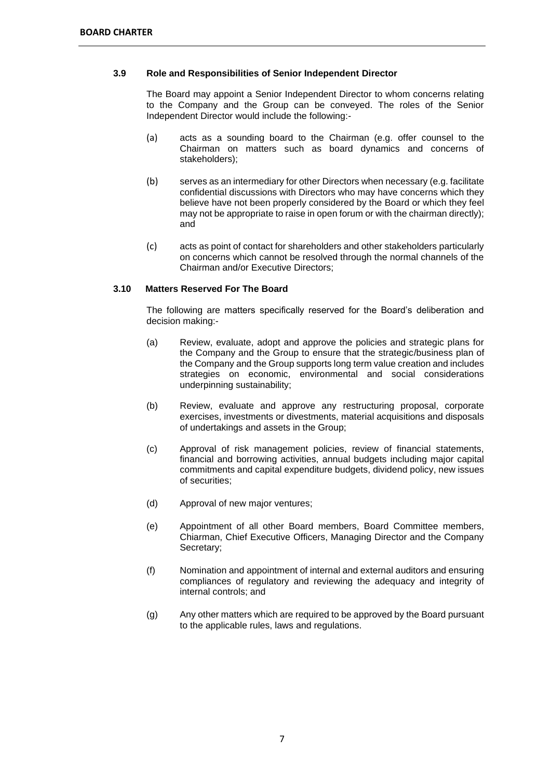#### **3.9 Role and Responsibilities of Senior Independent Director**

The Board may appoint a Senior Independent Director to whom concerns relating to the Company and the Group can be conveyed. The roles of the Senior Independent Director would include the following:-

- (a) acts as a sounding board to the Chairman (e.g. offer counsel to the Chairman on matters such as board dynamics and concerns of stakeholders);
- (b) serves as an intermediary for other Directors when necessary (e.g. facilitate confidential discussions with Directors who may have concerns which they believe have not been properly considered by the Board or which they feel may not be appropriate to raise in open forum or with the chairman directly); and
- (c) acts as point of contact for shareholders and other stakeholders particularly on concerns which cannot be resolved through the normal channels of the Chairman and/or Executive Directors;

## **3.10 Matters Reserved For The Board**

The following are matters specifically reserved for the Board's deliberation and decision making:-

- (a) Review, evaluate, adopt and approve the policies and strategic plans for the Company and the Group to ensure that the strategic/business plan of the Company and the Group supports long term value creation and includes strategies on economic, environmental and social considerations underpinning sustainability;
- (b) Review, evaluate and approve any restructuring proposal, corporate exercises, investments or divestments, material acquisitions and disposals of undertakings and assets in the Group;
- (c) Approval of risk management policies, review of financial statements, financial and borrowing activities, annual budgets including major capital commitments and capital expenditure budgets, dividend policy, new issues of securities;
- (d) Approval of new major ventures;
- (e) Appointment of all other Board members, Board Committee members, Chiarman, Chief Executive Officers, Managing Director and the Company Secretary;
- (f) Nomination and appointment of internal and external auditors and ensuring compliances of regulatory and reviewing the adequacy and integrity of internal controls; and
- (g) Any other matters which are required to be approved by the Board pursuant to the applicable rules, laws and regulations.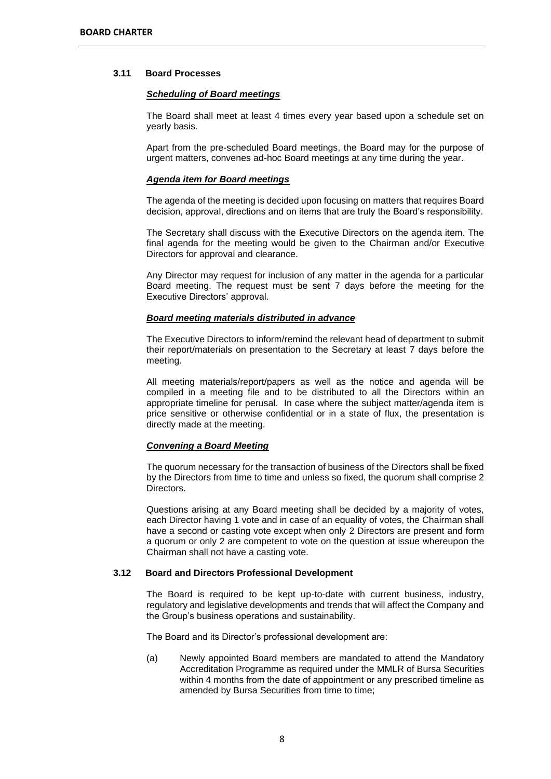#### **3.11 Board Processes**

#### *Scheduling of Board meetings*

The Board shall meet at least 4 times every year based upon a schedule set on yearly basis.

Apart from the pre-scheduled Board meetings, the Board may for the purpose of urgent matters, convenes ad-hoc Board meetings at any time during the year.

#### *Agenda item for Board meetings*

The agenda of the meeting is decided upon focusing on matters that requires Board decision, approval, directions and on items that are truly the Board's responsibility.

The Secretary shall discuss with the Executive Directors on the agenda item. The final agenda for the meeting would be given to the Chairman and/or Executive Directors for approval and clearance.

Any Director may request for inclusion of any matter in the agenda for a particular Board meeting. The request must be sent 7 days before the meeting for the Executive Directors' approval.

#### *Board meeting materials distributed in advance*

The Executive Directors to inform/remind the relevant head of department to submit their report/materials on presentation to the Secretary at least 7 days before the meeting.

All meeting materials/report/papers as well as the notice and agenda will be compiled in a meeting file and to be distributed to all the Directors within an appropriate timeline for perusal. In case where the subject matter/agenda item is price sensitive or otherwise confidential or in a state of flux, the presentation is directly made at the meeting.

#### *Convening a Board Meeting*

The quorum necessary for the transaction of business of the Directors shall be fixed by the Directors from time to time and unless so fixed, the quorum shall comprise 2 Directors.

Questions arising at any Board meeting shall be decided by a majority of votes, each Director having 1 vote and in case of an equality of votes, the Chairman shall have a second or casting vote except when only 2 Directors are present and form a quorum or only 2 are competent to vote on the question at issue whereupon the Chairman shall not have a casting vote.

#### **3.12 Board and Directors Professional Development**

The Board is required to be kept up-to-date with current business, industry, regulatory and legislative developments and trends that will affect the Company and the Group's business operations and sustainability.

The Board and its Director's professional development are:

(a) Newly appointed Board members are mandated to attend the Mandatory Accreditation Programme as required under the MMLR of Bursa Securities within 4 months from the date of appointment or any prescribed timeline as amended by Bursa Securities from time to time;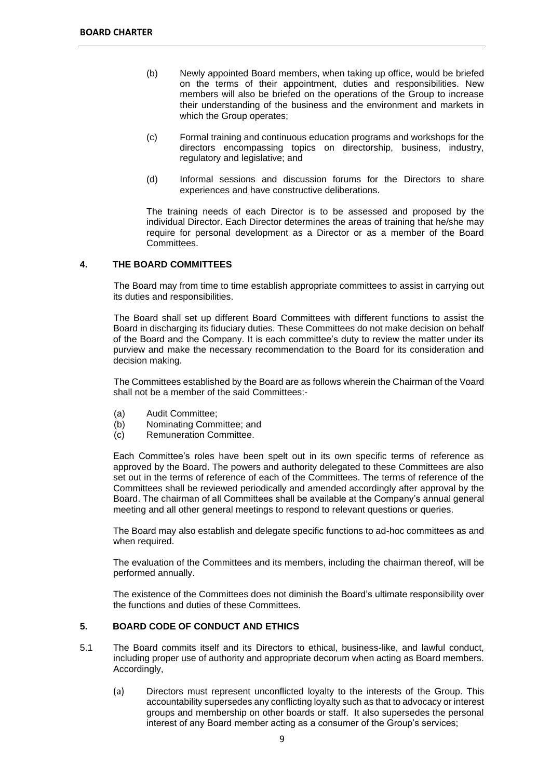- (b) Newly appointed Board members, when taking up office, would be briefed on the terms of their appointment, duties and responsibilities. New members will also be briefed on the operations of the Group to increase their understanding of the business and the environment and markets in which the Group operates;
- (c) Formal training and continuous education programs and workshops for the directors encompassing topics on directorship, business, industry, regulatory and legislative; and
- (d) Informal sessions and discussion forums for the Directors to share experiences and have constructive deliberations.

The training needs of each Director is to be assessed and proposed by the individual Director. Each Director determines the areas of training that he/she may require for personal development as a Director or as a member of the Board Committees.

## **4. THE BOARD COMMITTEES**

The Board may from time to time establish appropriate committees to assist in carrying out its duties and responsibilities.

The Board shall set up different Board Committees with different functions to assist the Board in discharging its fiduciary duties. These Committees do not make decision on behalf of the Board and the Company. It is each committee's duty to review the matter under its purview and make the necessary recommendation to the Board for its consideration and decision making.

The Committees established by the Board are as follows wherein the Chairman of the Voard shall not be a member of the said Committees:-

- (a) Audit Committee;
- (b) Nominating Committee; and
- (c) Remuneration Committee.

Each Committee's roles have been spelt out in its own specific terms of reference as approved by the Board. The powers and authority delegated to these Committees are also set out in the terms of reference of each of the Committees. The terms of reference of the Committees shall be reviewed periodically and amended accordingly after approval by the Board. The chairman of all Committees shall be available at the Company's annual general meeting and all other general meetings to respond to relevant questions or queries.

The Board may also establish and delegate specific functions to ad-hoc committees as and when required.

The evaluation of the Committees and its members, including the chairman thereof, will be performed annually.

The existence of the Committees does not diminish the Board's ultimate responsibility over the functions and duties of these Committees.

# **5. BOARD CODE OF CONDUCT AND ETHICS**

- 5.1 The Board commits itself and its Directors to ethical, business-like, and lawful conduct, including proper use of authority and appropriate decorum when acting as Board members. Accordingly,
	- (a) Directors must represent unconflicted loyalty to the interests of the Group. This accountability supersedes any conflicting loyalty such as that to advocacy or interest groups and membership on other boards or staff. It also supersedes the personal interest of any Board member acting as a consumer of the Group's services;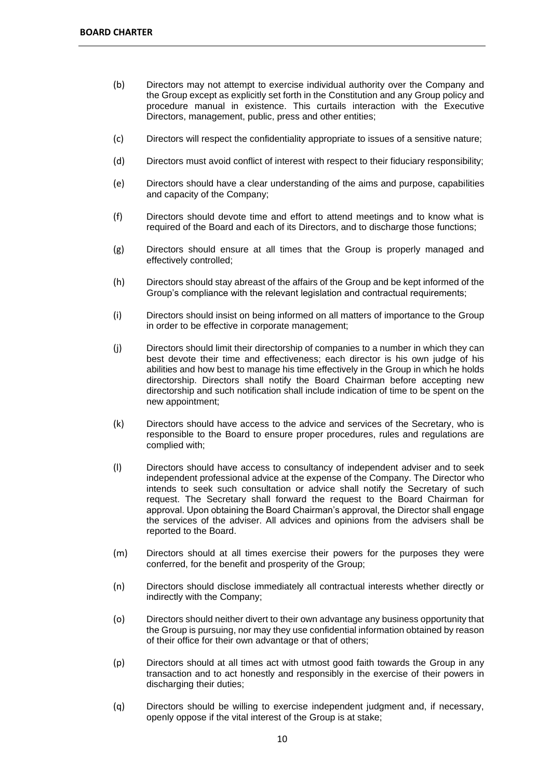- (b) Directors may not attempt to exercise individual authority over the Company and the Group except as explicitly set forth in the Constitution and any Group policy and procedure manual in existence. This curtails interaction with the Executive Directors, management, public, press and other entities;
- (c) Directors will respect the confidentiality appropriate to issues of a sensitive nature;
- (d) Directors must avoid conflict of interest with respect to their fiduciary responsibility;
- (e) Directors should have a clear understanding of the aims and purpose, capabilities and capacity of the Company;
- (f) Directors should devote time and effort to attend meetings and to know what is required of the Board and each of its Directors, and to discharge those functions;
- (g) Directors should ensure at all times that the Group is properly managed and effectively controlled;
- (h) Directors should stay abreast of the affairs of the Group and be kept informed of the Group's compliance with the relevant legislation and contractual requirements;
- (i) Directors should insist on being informed on all matters of importance to the Group in order to be effective in corporate management;
- (j) Directors should limit their directorship of companies to a number in which they can best devote their time and effectiveness; each director is his own judge of his abilities and how best to manage his time effectively in the Group in which he holds directorship. Directors shall notify the Board Chairman before accepting new directorship and such notification shall include indication of time to be spent on the new appointment;
- (k) Directors should have access to the advice and services of the Secretary, who is responsible to the Board to ensure proper procedures, rules and regulations are complied with;
- (l) Directors should have access to consultancy of independent adviser and to seek independent professional advice at the expense of the Company. The Director who intends to seek such consultation or advice shall notify the Secretary of such request. The Secretary shall forward the request to the Board Chairman for approval. Upon obtaining the Board Chairman's approval, the Director shall engage the services of the adviser. All advices and opinions from the advisers shall be reported to the Board.
- (m) Directors should at all times exercise their powers for the purposes they were conferred, for the benefit and prosperity of the Group;
- (n) Directors should disclose immediately all contractual interests whether directly or indirectly with the Company;
- (o) Directors should neither divert to their own advantage any business opportunity that the Group is pursuing, nor may they use confidential information obtained by reason of their office for their own advantage or that of others;
- (p) Directors should at all times act with utmost good faith towards the Group in any transaction and to act honestly and responsibly in the exercise of their powers in discharging their duties;
- (q) Directors should be willing to exercise independent judgment and, if necessary, openly oppose if the vital interest of the Group is at stake;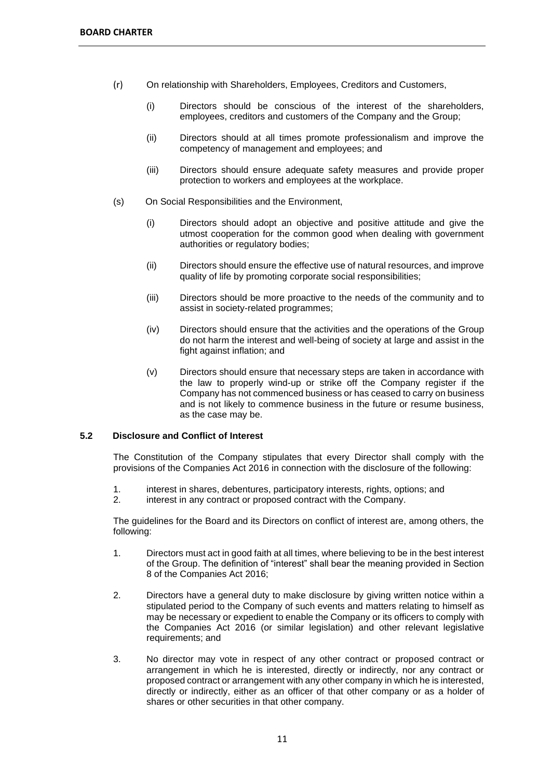- (r) On relationship with Shareholders, Employees, Creditors and Customers,
	- (i) Directors should be conscious of the interest of the shareholders, employees, creditors and customers of the Company and the Group;
	- (ii) Directors should at all times promote professionalism and improve the competency of management and employees; and
	- (iii) Directors should ensure adequate safety measures and provide proper protection to workers and employees at the workplace.
- (s) On Social Responsibilities and the Environment,
	- (i) Directors should adopt an objective and positive attitude and give the utmost cooperation for the common good when dealing with government authorities or regulatory bodies;
	- (ii) Directors should ensure the effective use of natural resources, and improve quality of life by promoting corporate social responsibilities;
	- (iii) Directors should be more proactive to the needs of the community and to assist in society-related programmes;
	- (iv) Directors should ensure that the activities and the operations of the Group do not harm the interest and well-being of society at large and assist in the fight against inflation; and
	- (v) Directors should ensure that necessary steps are taken in accordance with the law to properly wind-up or strike off the Company register if the Company has not commenced business or has ceased to carry on business and is not likely to commence business in the future or resume business, as the case may be.

# **5.2 Disclosure and Conflict of Interest**

The Constitution of the Company stipulates that every Director shall comply with the provisions of the Companies Act 2016 in connection with the disclosure of the following:

- 1. interest in shares, debentures, participatory interests, rights, options; and
- 2. interest in any contract or proposed contract with the Company.

The guidelines for the Board and its Directors on conflict of interest are, among others, the following:

- 1. Directors must act in good faith at all times, where believing to be in the best interest of the Group. The definition of "interest" shall bear the meaning provided in Section 8 of the Companies Act 2016;
- 2. Directors have a general duty to make disclosure by giving written notice within a stipulated period to the Company of such events and matters relating to himself as may be necessary or expedient to enable the Company or its officers to comply with the Companies Act 2016 (or similar legislation) and other relevant legislative requirements; and
- 3. No director may vote in respect of any other contract or proposed contract or arrangement in which he is interested, directly or indirectly, nor any contract or proposed contract or arrangement with any other company in which he is interested, directly or indirectly, either as an officer of that other company or as a holder of shares or other securities in that other company.